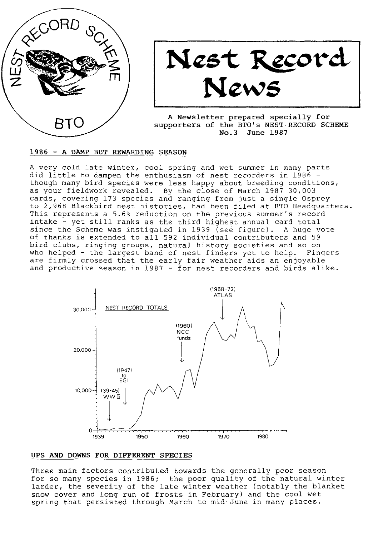

# Nest Record News

A Newsletter prepared specially for supporters of the BTO's NEST.RECORD SCHEME No.3 June 1987

#### 1986 - A DAMP BUT REWARDING SEASON

A very cold late winter, cool spring and wet summer in many parts did little to dampen the enthusiasm of nest recorders in 1986 though many bird species were less happy about breeding conditions, as your fieldwork revealed. By the close of March 1987 30,003 cards, covering 173 species and ranging from just a single Osprey to 2,968 Blackbird nest histories, had been filed at BTO Headquarters. This represents a 5.6% reduction on the previous summer's record intake - yet still ranks as the third highest annual card total since the Scheme was instigated in 1939 (see figure). A huge vote of thanks is extended to all 592 individual contributors and 59 bird clubs, ringing groups, natural history societies and so on who helped - the largest band of nest finders yet to help. Fingers are firmly crossed that the early fair weather aids an enjoyable and productive season in 1987 - for nest recorders and birds alike.



## UPS AND DOWNS FOR DIFFERENT SPECIES

Three main factors contributed towards the generally poor season for so many species in 1986; the poor quality of the natural winter Iarder, the severity of the late winter weather (notably the blanket snow cover and long run of frosts in February) and the cool wet spring that persisted through March to mid-June in many places.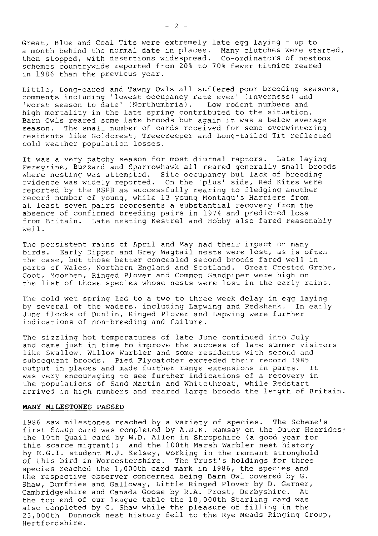Great, Blue and Coal Tits were extremely late egg laying - up to a month behind the normal date in places. Many clutches were started, then stopped, with desertions widespread. Co-ordinators of nestbo schemes countryuide reported from 208 to 708 fewcr titmice reared in 1986 than the previous year.

Little, Long-eared and Tawny Owls all suffered poor breeding seasc comments including 'lowest occupancy rate ever' (Inverness) and 'worst season to date' (Northumbria). Low rodent numbers and high mortality in the late spring contributed to the situation. Barn Owls reared some late broods but again it was a below average season. The small number of cards received for some overwintering residents like Goldcrest, Treecreeper and Long-tailed Tit reflected cold weather population losses.

It was a very patchy season for most diurnal raptors. Late laying Peregrine, Buzzard and Sparrowhawk all reared generally small broods where ncsting was attempted. Site occupancy but Iack of breeding cvidence was widely rcported. On the 'plus' side, Red Kites wcre reported by the RSPB as successfully rearing to fledging another record number of young, while 13 young Montagu's Harriers from at least seven pairs represents a substantial recovery from the absence of confirmed brecding pairs in 1974 and predicted loss from Britain. Latc nesting Kestrel and Hobby also fared reasonably we1l.

The persistent rains of April and May had their impact on many birds. Early Dipper and Grey Wagtail nests were lost, as is often the case, but those better concealed second broods fared well in parts of Walcs, Northcrn England and Scotland. Great Crested Grebe, Coot, Moorhen, Ringed Plover and Common Sandpiper were high on the list of those species whose nests were lost in the early rains.

Thc cold wet spring led to a two to three week delay in egg laying by several of thc waders, includjng Lapwing and Redshank. In early June flocks of DunIin, Ringed PIover and Lapwing were further indications of non-breeding and failure.

The sizzling hot temperatures of late June continued into July and came just in time to improve the success of late summer visitors like Swallow, Willow Warbler and some residents with second and subsequent broods. Pied Flycatcher exceeded their record 1985 output in places and made further range extensions in parts. It was very encouraging to see further indications of a recovery in the populations of Sand Martin and whitethroat, while Redstart arrivcd in high numbers and reared Iarge broods the length of Britain.

#### MANY MILESTONES PASSED

I986 saw milcstones reached by a variety of species. The Scheme's first Scaup card was completed by A.D.K. Ramsay on the Outer Hebrides; the loth Quail card by w.D. Allen in Shropshire (a good year for this scarce migrant); and the 1O0th Marsh Warbler nest history by E.c.I. student M.J. KeIscy, working in the remnant stronghold of this bird in Worcestershire. The Trust's holdings for three species reached the  $1,000$ th card mark in 1986, the species and the respective observer concerned being Barn Owl covered by G. Shaw, Dumfries and Galloway, Little Ringed Plover by D. Garner, Cambridgeshire and Canada Goose by R.A. Frost, Derbyshire. At the top end of our league table the 10,000th Starling card was also completed by G. Shaw while the pleasure of filling in the 25,000th Dunnock nest history fell to the Rye Meads Ringing Group, Hertfordshire.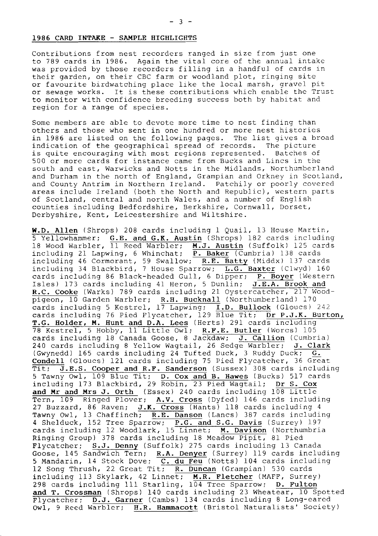#### 1986 CARD INTAKE - SAMPLE HIGHLIGHTS

Contributions from nest recorders ranged in size from just one to 789 cards in 1986. Again the vital core of the annual intake was provided by those recorders filling in a handful of cards in their garden, on their CBC farm or woodland plot, ringing site or favourite birdwatching place like the local marsh, gravel pit or sewage works. It is these contributions which enable the Trust to monitor with confidence breeding success both by habitat and region for a range of species.

Some members are able to devote more time to nest finding than others and those who sent in one hundred or more nest histories in 1986 are listed on the following pages. The list gives a broad indication of the geographical spread of records. The picture is quite encouraging with most regions represented. Batches of 500 or more cards for instance came from Bucks and Lincs in the south and east, Warwicks and Notts in the Midlands, Northumberland and Durham in the north of England, Grampian and Orkney in Scotland, and County Antrim in Northern lreland. Patchily or poorly covercd areas include Ireland (both the North and Republic), western parts of Scotland, central and north waIes, and a number of English counties including Bedfordshire, Berkshire, Cornwall, Dorset, Derbyshire, Kent, Leicestershire and Wiltshire.

W.D. Allen (Shrops) 208 cards including 1 Quail, 13 House Martin, 5 Yellowhammer; G.E. and G.K. Austin (Shrops) IB2 cards including 18 Wood Warbler,  $\overline{11}$  Reed Warbler; **M.J. Austin** (Suffolk) 125 cards including 21 Lapwing, 6 Whinchat; P. Baker (Cumbria) 138 cards including 46 Cormorant, 59 Swallow; R.E. Batty (Middx) 137 cards including 34 Blackbird, 7 House Sparrow; L.G. Baxter (Clwyd) 160 cards including 86 Black-headed Gull, 6 Dipper; P. Boyer (Western Isles) 173 cards including 41 Heron, 5 Dunlin;  $J.E.A. Brock$  and R.C. Cooke (Warks) 789 cards including 21 Oystercatcher, 217 Woodpigeon,  $\overline{10}$  Garden Warbler; R.H. Bucknall (Northumberland) 170 cards including 5 Kestrel, 17 Lapwing; I.D. Bullock (Gloucs) 242 cards including 76 Pied Flycatcher, 129 Blue Tit; Dr P.J.K. Burton, T.G. Holder, M. Hunt and D.A. Lees (Herts) 291 cards including 78 KestreI, 5 Hobby, ll Little owl; R.F.E. Butler (worcs) 105 cards including 18 Canada Goose, 8 Jackdaw; J. Callion (Cumbria) 240 cards including 8 Yellow Wagtail, 26 Sedge Warbler; J. Clark (Gwynedd) 165 cards including 24 Tufted Duck, 3 Ruddy Duck; G Condell (Gloucs) 121 cards including 75 Pied Flycatcher, 36 Great Tit; J.E.S. Cooper and R.F. Sanderson (Sussex) 308 cards including 5 Tawny OwI, I09 Blue Tit; D. Cox and B. Hawes (Bucks) 5I7 cards including 173 Blackbird, 29 Robin, 23 Pied Wagtail; Dr S. Cox and Mr and Mrs J. Orth (Essex) 240 cards including  $108$  Little Tern, 109 Ringed Plover; A.V. Cross (Dyfed) 146 cards including 27 Buzzard, 86 Raven; J.K. Cross (Hants) 118 cards including 4 Tawny Owl, 13 Chaffinch; R.E. Danson (Lancs) 387 cards including 4 Shelduck, 152 Tree Sparrow; P.G. and S.G. Davis (Surrey) 197 cards including 12 Woodlark, 15 Linnet; M. Davison (Northumbria Ringing Group) 378 cards including l8 Meadow Pipit, 8l Pied Flycatcher; S.J. Denny (Suffolk) 275 cards including I3 Canada Goose, 145 Sandwich Tern; R.A. Denyer (Surrey) 119 cards including 5 Mandarin, 14 Stock Dove; C. du Feu (Notts) 104 cards includin 12 Song Thrush, 22 Great Tit; R. Duncan (Grampian) 530 cards including 113 Skylark, 42 Linnet; M.R. Fletcher (MAFF, Surrey) 298 cards including 111 Starling,  $104$  Tree Sparrow; D. Fulton and T. Crossman (Shrops) 140 cards including 23 Wheatear, 10 Spotted  $\overline{Flycatcher}$ ; D.J. Garner (Cambs) 134 cards including 8 Long-eared Ow1, 9 Reed Warbler; H.R. Hammacott (Bristol Naturalists' Society)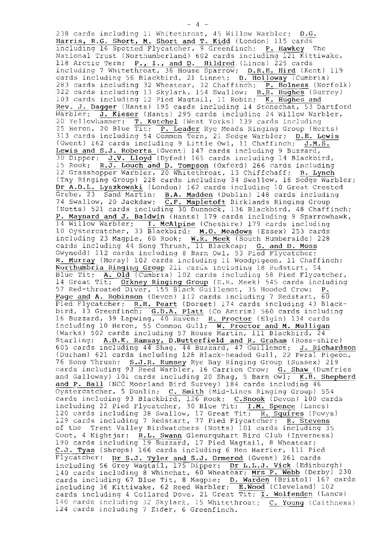238 cards including 11 Whitethroat, 45 Willow Warbler;  $D.G.$ Harris, R.G. Short, M. Short and T. Kidd (London) 115 cards including 16 Spotted Flycatcher, 9 Greenfinch; P. Hawkey The National Trust (Northumberland) 602 cards including 121 Kittiwake, 118 Arctic Tern; P., I., and D. Hildred. (Lincs) 225 cards including 7 Whitethroat, 36 House Sparrow; D.R.E. Hird (Kent) 119<br>cards including 56 Blackbird, 21 Linnet; D. Holloway (Cumbria) 283 cards including 32 Wheatear, 32 Chaffinch; P. Holness (Norfolk)<br>322 cards including 32 Wheatear, 32 Chaffinch; P. Holness (Norfolk)<br>32 cards including 13 Skylark, 154 Swallow; B.R. Hughes (Surrey)<br>103 cards including 1 Rev. J. Dagger (Hants) 195 cards including 14 Stonechat, 53 Dartford Warbler; J. Kieser (Hants) 295 cards including 24 Willow Warbler, 20 Yellowhammer; T. Kutchel (West Yorks) 139 cards including 25 Heron, 20 Blue Tit; P. Leader Rye Meads Ringing Group (Herts) 313 cards including 54 Common Tern, 21 Sedge Warbler; D.E. Lewis (Gwent) 162 cards including 9 Little Owl, 11 Chaffinch; J.M.S. Lewis and S.J. Roberts (Gwent) 147 cards including 9 Buzzard,<br>30 Dipper: J.V. Lloyd (Dyfed) 165 cards including 14 Blackbird, 15 Rook; R.J. Louch and D. Tompson (Oxford) 266 cards including 12 Grasshopper Warbler, 20 Whitethroat, 13 Chiffchaff; B. Lynch (Tay Ringing Group) 228 cards including 34 Swallow, 16 Sedge Warbler; Dr A.D.L. Lyszkowski (London) 162 cards including 10 Great Crested Grebe, 23 Sand Martin; B.A. Madden (Dublin) 148 cards including 74 Swallow, 20 Jackdaw; C.F. Mapletoft Birklands Ringing Group (Notts) 521 cards including 30 Dunnock, 136 Blackbird, 48 Chaffinch; P. Maynard and J. Baldwin (Hants) 179 cards including 9 Sparrowhawk, 14 Willow Warbler; I. McAlpine (Cheshire) 179 cards including 19 William Multici (33 Blackbird; M.O. Meadows (Essex) 253 cards including 23 Magpie, 60 Rook; W.R. Meek (South Humberside) 228<br>cards including 44 Song Thrush, 11 Blackcap; G. and D. Moss<br>Gwynedd) 112 cards including 8 Barn Owl, 53 Pied Flycatcher; R. Murray (Moray) 102 cards including 11 Woodpigeon, 11 Chaffinch; Northumbria Ringing Group 211 cards including 18 Redstart, 54 Northumbria Ringing Group 211 cards including 18 Redstart, 54<br>Blue Tit; A. Old (Cumbria) 102 cards including 58 Pied Flycatcher,<br>14 Great Tit; Orkney Ringing Group (E.R. Meek) 545 cards including<br>57 Red-throated Diver, 15 (Warks) 502 cards including 57 House Martin, 111 Blackbird, 24 Starling; A.D.K. Ramsay, D.Butterfield and R. Graham (Ross-shire) 605 cards including 44 Shag, 44 Buzzard, 47 Guillemot; J. Richardson<br>(Durham) 621 cards including 128 Black-headed Gull, 22 Feral Pigeon, 76 Song Thrush; S.J.R. Rumsey Rye Bay Ringing Group (Sussex) 219 cards including 93 Reed Warbler, 16 Carrion Crow; G. Shaw (Dumfries and Galloway) 101 cards including 20 Shag, 5 Barn  $0\overline{w1}$ ; K.B. Shepherd and P. Ball (NCC Moorland Bird Survey) 184 cards including 46 Oystercatcher, 5 Dunlin; C. Smith (Mid-Lincs Ringing Group) 554 cards including 93 Blackbird, 126 Rook; C.Snook (Devon) 100 cards including 22 Pied Flycatcher, 30 Blue Tit; I.M. Spence (Lancs) 120 cards including 38 Swallow, 17 Great Tit; R. Squires (Powys) 129 cards including 7 Redstart, 77 Pied Flycatcher; R. Stevens of the Trent Valley Birdwatchers (Notts) 101 cards including 35 Coot, 4 Nightjar; R.L. Swann Glenurquhart Bird Club (Inverness) 190 cards including 19 Buzzard, 17 Pied Wagtail, 8 Wheatear; C.J. Tyas (Shrops) 166 cards including 6 Hen Harrier, 111 Pied Flycatcher; Dr S.J. Tyler and S.J. Ormerod (Gwent) 261 cards including 56 Grey Wagtail, 175 Dipper; Dr L.L.J. Vick (Edinburgh) 140 cards including 8 Whinchat, 60 Wheatear; Mrs P. Webb (Derby) 230 cards including 67 Blue Tit, 8 Magpie; D. Warden (Bristol) 167 cards including 36 Kittiwake, 62 Reed Warbler; E. Wood (Cleveland) 102 cards including 4 Collared Dove, 21 Great Tit; I. Wolfenden (Lancs) 140 cards including 32 Skylark, 15 Whitethroat; C. Young (Caithness) 124 cards including 7 Eider, 6 Greenfinch.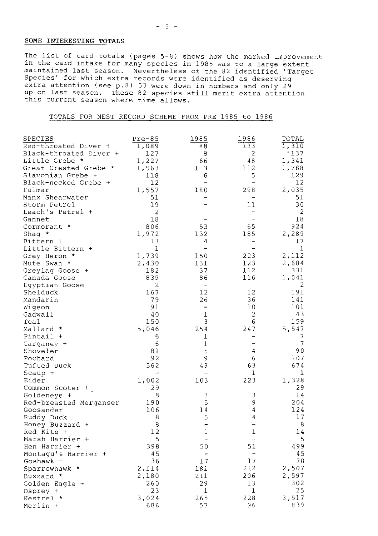# SOME INTERESTING TOTALS

The list of card totals (pages 5-8) shows how the marked improvement in the card intake for many species in 1985 was to a large extent maintained last season. Nevertheless of the 82 identified 'Target maintained iast season. Nevertheless of the of identified and species' for which extra attention (see p.8) 53 were identified as deserving up on last season. These 82 species still merit extra attention (see p.8) 53 were d this current season where time allows.

TOTALS FOR NEST RECORD SCHEME FROM PRE 1985 to 1986

| SPECIES                         | $Pre-85$       | 1985                     | 1986                     | TOTAL          |
|---------------------------------|----------------|--------------------------|--------------------------|----------------|
| Red-throated Diver +            | 1,089          | 88                       | 133                      | 1,310          |
| Black-throated Diver +          | 127            | 8                        | 2                        | .137           |
| Little Grebe *                  | 1,227          | 66                       | 48                       | 1,341          |
| Great Crested Grebe *           | 1,563          | 113                      | 112                      | 1,788          |
| Slavonian Grebe +               | 118            | 6                        | 5                        | 129            |
| Black-necked Grebe +            | 12             |                          | $\overline{\phantom{0}}$ | 12             |
| Fulmar                          | 1,557          | 180                      | 298                      | 2,035          |
| Manx Shearwater                 | 51             |                          |                          | 51             |
| Storm Petrel                    | 19             |                          | 11                       | 30             |
| Leach's Petrel +                | $\overline{2}$ |                          | -                        | 2              |
| Gannet                          | 18             |                          | $\equiv$                 | 18             |
| Cormorant *                     | 806            | 53                       | 65                       | 924            |
| Shaq $*$                        | 1,972          | 132                      | 185                      | 2,289          |
| Bittern +                       | 13             | 4                        | -                        | 17             |
| Little Bittern +                | 1              | $\overline{\phantom{0}}$ | $\overline{\phantom{a}}$ | 1              |
| Grey Heron *                    | 1,739          | 150                      | 223                      | 2,112          |
| Mute Swan *                     |                | 131                      | 123                      | 2,684          |
|                                 | 2,430          | 37                       | 112                      | 331            |
| Greylag Goose +<br>Canada Goose | 182<br>839     | 86                       | 116                      | 1,041          |
|                                 |                |                          |                          | $\overline{c}$ |
| Eqyptian Goose                  | 2              | $\overline{\phantom{0}}$ | $\overline{\phantom{a}}$ |                |
| Shelduck                        | 167            | 12                       | 12                       | 191            |
| Mandarin                        | 79             | 26                       | 36                       | 141            |
| Wigeon                          | 91             | $\overline{\phantom{0}}$ | 10                       | 101            |
| Gadwall                         | 40             | 1                        | 2                        | 43             |
| Teal                            | 150            | 3                        | 6                        | 159            |
| Mallard *                       | 5,046          | 254                      | 247                      | 5,547          |
| Pintail +                       | 6              | 1                        | -                        | 7              |
| Garganey +                      | 6              | ı                        | -                        | $\overline{7}$ |
| Shoveler                        | 81             | 5                        | 4                        | 90             |
| Pochard                         | 92             | 9                        | 6                        | 107            |
| Tufted Duck                     | 562            | 49                       | 63                       | 674            |
| $Scaup +$                       |                |                          | ı                        | 1              |
| Eider                           | 1,002          | 103                      | 223                      | 1,328          |
| Common Scoter +                 | 29             |                          |                          | 29             |
| Goldeneye +                     | 8              | 3                        | 3                        | 14             |
| Red-breasted Merganser          | 190            | 5                        | 9                        | 204            |
| Goosander                       | 106            | 14                       | 4                        | 124            |
| Ruddy Duck                      | 8              | 5                        | 4                        | 17             |
| Honey Buzzard +                 | 8              | $\overline{\phantom{0}}$ | $\overline{\phantom{0}}$ | 8              |
| Red Kite +                      | 12             | 1                        | 1                        | 14             |
| Marsh Harrier +                 | 5              | $\overline{\phantom{a}}$ | $\overline{\phantom{m}}$ | 5              |
| Hen Harrier +                   | 398            | 50                       | 51                       | 499            |
| Montaqu's Harrier +             | 45             | $\overline{\phantom{a}}$ | -                        | 45             |
| Goshawk +                       | 36             | 17                       | 17                       | 70             |
| Sparrowhawk *                   | 2,114          | 181                      | 212                      | 2,507          |
| Buzzard *                       | 2,180          | 211                      | 206                      | 2,597          |
| Golden Eagle +                  | 260            | 29                       | 13                       | 302            |
| Osprey +                        | 23             | ı                        | 1                        | 25             |
| Kestrel *                       | 3,024          | 265                      | 228                      | 3,517          |
| Merlin +                        | 686            | 57                       | 96                       | 839            |
|                                 |                |                          |                          |                |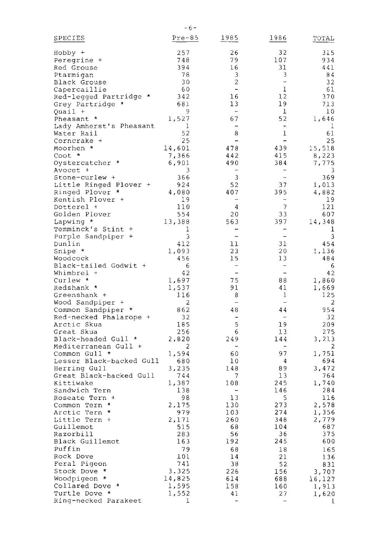| SPECIES                  | $Pre-85$ | 1985                     | 1986                     | TOTAL       |
|--------------------------|----------|--------------------------|--------------------------|-------------|
| Hobby +                  | 257      | 26                       | 32                       | 315         |
| Peregrine +              | 748      | 79                       | 107                      | 934         |
| Red Grouse               | 394      | 16                       | 31                       | 441         |
| Ptarmiqan                | 78       | 3                        | 3                        | 84          |
| Black Grouse             | 30       | 2                        | $\rightarrow$            | 32          |
| Capercaillie             | -60      | $\overline{a}$           | $\mathbf 1$              | 61          |
| Red-legged Partridge *   | 342      | 16                       | $1\,2$                   | 370         |
| Grey Partridge *         | 681      | 13                       | 19                       | 713         |
| Quail +                  | 9        | $\overline{\phantom{a}}$ | $\mathbf 1$              | 10          |
| Pheasant *               | 1,527    | 67                       | 52                       | 1,646       |
| Lady Amherst's Pheasant  | 1        | $\ddot{\phantom{a}}$     | $\overline{\phantom{a}}$ | $\mathbf 1$ |
| Water Rail               | 52       | 8                        | $\mathbf 1$              | 61          |
| Corncrake +              | 25       | $\overline{\phantom{0}}$ | $\overline{\phantom{a}}$ | 25          |
| Moorhen *                | 14,601   | 478                      | 439                      | 15,518      |
| Coot *                   | 7,366    | 442                      | 415                      | 8,223       |
| Oystercatcher *          | 6,901    | 490                      | 384                      | 7,775       |
| Avocet +                 | 3        |                          |                          | 3           |
| Stone-curlew +           | 366      | 3                        | $\overline{a}$           | 369         |
| Little Ringed Plover +   | 924      | 52                       | 37                       | 1,013       |
| Ringed Plover *          | 4,080    | 407                      | 395                      | 4,882       |
| Kentish Plover +         | -19      | $\overline{a}$           |                          | 19          |
| Dotterel +               | 110      | 4                        | 7                        | 121         |
| Golden Plover            | 554      | 20                       | 33                       | 607         |
| Lapwing *                | 13,388   | 563                      | 397                      | 14,348      |
| Temminck's Stint +       | 1        | -                        | $\qquad \qquad -$        | 1           |
| Purple Sandpiper +       | 3        | $\overline{a}$           | $\overline{\phantom{0}}$ | 3           |
| Dunlin                   | 412      | 11                       | 31                       | 454         |
| Snipe *                  | 1,093    | 23                       | 20                       | 1,136       |
| Woodcock                 | 456      | 15                       | 13                       | 484         |
| Black-tailed Godwit +    | 6        |                          |                          | 6           |
| Whimbrel +               | 42       | $\overline{\phantom{a}}$ | $\overline{\phantom{a}}$ | 42          |
| Curlew *                 | 1,697    | 75                       | 88                       | 1,860       |
| Redshank *               | 1,537    | 91                       | 41                       | 1,669       |
| Greenshank +             | 116      | 8                        | 1                        | 125         |
| Wood Sandpiper +         | 2        |                          | $\overline{\phantom{a}}$ | 2           |
| Common Sandpiper *       | 862      | 48                       | 44                       | 954         |
| Red-necked Phalarope +   | 32       | $\overline{\phantom{0}}$ | $\overline{\phantom{a}}$ | 32          |
| Arctic Skua              | 185      | 5                        | 19                       | 209         |
| Great Skua               | 256      | 6                        | 13                       | 275         |
| Black-headed Gull *      | 2,820    | 249                      | 144                      | 3,213       |
| Mediterranean Gull +     | 2        |                          |                          | 2           |
| Common Gull *            | 1,594    | 60                       | 97                       | 1,751       |
| Lesser Black-backed Gull | 680      | 10                       | 4                        | 694         |
| Herring Gull             | 3,235    | 148                      | 89                       | 3,472       |
| Great Black-backed Gull  | 744      | $\overline{\phantom{a}}$ | 13                       | 764         |
| Kittiwake                | 1,387    | 108                      | 245                      | 1,740       |
| Sandwich Tern            | 138      |                          | 146                      | 284         |
| Roseate Tern +           | 98       | 13                       | 5                        | 116         |
| Common Tern *            | 2,175    | 130                      | 273                      | 2,578       |
| Arctic Tern *            | 979      | 103                      | 274                      | 1,356       |
| Little Tern +            | 2,171    | 260                      | 348                      | 2,779       |
| Guillemot                | 515      | 68                       | 104                      | 687         |
| Razorbill                | 283      | 56                       | 36                       | 375         |
| Black Guillemot          | 163      | 192                      | 245                      | 600         |
| Puffin                   | 79       | 68                       | 18                       | 165         |
| Rock Dove                | 101      | 14                       | 21                       | 136         |
| Feral Pigeon             | 741      | 38                       | 52                       | 831         |
| Stock Dove *             | 3.325    | 226                      | 156                      | 3,707       |
| Woodpigeon *             | 14,825   | 614                      | 688                      | 16,127      |
| Collared Dove *          | 1,595    | 158                      | 160                      | 1,913       |
| Turtle Dove *            | 1,552    | 41                       | 27                       | 1,620       |
| Ring-necked Parakeet     | 1        |                          |                          | 1           |

 $-6-$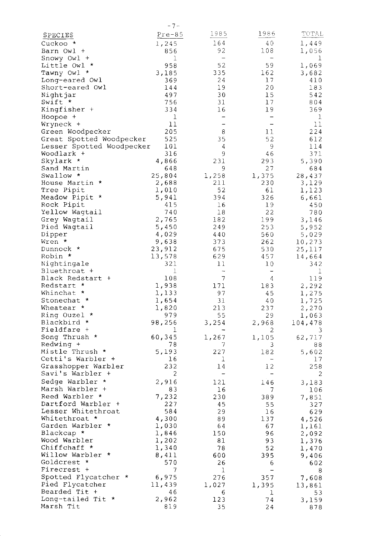|                                              | $-7-$          |                          |                          |                  |
|----------------------------------------------|----------------|--------------------------|--------------------------|------------------|
| <b>SPECIES</b>                               | $Pre-85$       | 1985                     | 1986                     | TOTAL            |
| Cuckoo *                                     | 1,245          | 164                      | 40                       | 1,449            |
| Barn Owl +                                   | 856            | 92                       | 108                      | 1,056            |
| Snowy Owl +                                  | 1              |                          |                          | 1                |
| *<br>Little Owl                              | 958            | 52                       | 59                       | 1,069            |
| Tawny Owl *                                  | 3,185          | 335                      | 162                      | 3,682            |
| Long-eared Owl                               | 369            | 24                       | 17                       | 410              |
| Short-eared Owl                              | 144            | 19                       | 20                       | 183              |
| Nightjar                                     | 497            | 30                       | 15                       | 542              |
| Swift *                                      | 756            | 31                       | 17                       | 804              |
| Kingfisher +                                 | 334            | 16                       | 19                       | 369              |
| Hoopoe +                                     | 1              | $\overline{\phantom{0}}$ |                          | 1                |
| Wryneck +                                    | 11<br>205      | -<br>8                   | -<br>11                  | 11<br>224        |
| Green Woodpecker<br>Great Spotted Woodpecker | 525            | 35                       | 52                       | 612              |
| Lesser Spotted Woodpecker                    | 101            | 4                        | 9                        | 114              |
| Woodlark +                                   | 316            | 9                        | 46                       | 371              |
| Skylark *                                    | 4,866          | 231                      | 293                      | 5,390            |
| Sand Martin                                  | 648            | 9                        | 27                       | 684              |
| Swallow *                                    | 25,804         | 1,258                    | 1,375                    | 28,437           |
| House Martin *                               | 2,688          | 211                      | 230                      | 3,129            |
| Tree Pipit                                   | 1,010          | 52                       | 61                       | 1,123            |
| Meadow Pipit *                               | 5,941          | 394                      | 326                      | 6,661            |
| Rock Pipit                                   | 415            | 16                       | 19                       | 450              |
| Yellow Wagtail                               | 740            | 18                       | 22                       | 780              |
| Grey Wagtail                                 | 2,765          | 182                      | 199                      | 3,146            |
| Pied Wagtail                                 | 5,450          | 249                      | 253                      | 5,952            |
| Dipper<br>Wren *                             | 4,029<br>9,638 | 440<br>373               | 560                      | 5,029            |
| Dunnock *                                    | 23,912         | 675                      | 262<br>530               | 10,273<br>25,117 |
| Robin *                                      | 13,578         | 629                      | 457                      | 14,664           |
| Nightingale                                  | 321            | 11                       | 10                       | 342              |
| Bluethroat +                                 | 1              | $\overline{\phantom{a}}$ | $\qquad \qquad -$        | 1                |
| Black Redstart +                             | 108            | $\overline{7}$           | 4                        | 119              |
| Redstart *                                   | 1,938          | 171                      | 183                      | 2,292            |
| Whinchat *                                   | 1,133          | 97                       | 45                       | 1,275            |
| Stonechat *                                  | 1,654          | 31                       | 40                       | 1,725            |
| Wheatear *                                   | 1,820          | 213                      | 237                      | 2,270            |
| Ring Ouzel *                                 | 979            | 55                       | 29                       | 1,063            |
| Blackbird *                                  | 98,256         | 3,254                    | 2,968                    | 104,478          |
| Fieldfare +<br>Song Thrush *                 | T              |                          | 2                        | 3                |
| Redwing +                                    | 60,345<br>78   | 1,267<br>7               | 1,105<br>3               | 62,717<br>88     |
| Mistle Thrush *                              | 5,193          | 227                      | 182                      | 5,602            |
| Cetti's Warbler +                            | 16             | 1                        | $\overline{\phantom{m}}$ | 17               |
| Grasshopper Warbler                          | 232            | 14                       | 12                       | 258              |
| Savi's Warbler +                             | 2              | $\qquad \qquad -$        | -                        | 2                |
| Sedge Warbler *                              | 2,916          | 121                      | 146                      | 3,183            |
| Marsh Warbler +                              | 83             | 16                       | 7                        | 106              |
| Reed Warbler *                               | 7,232          | 230                      | 389                      | 7,851            |
| Dartford Warbler +                           | 227            | 45                       | 55                       | 327              |
| Lesser Whitethroat                           | 584            | 29                       | 16                       | 629              |
| Whitethroat *                                | 4,300          | 89                       | 137                      | 4,526            |
| Garden Warbler *                             | 1,030          | -64                      | 67                       | 1,161            |
| Blackcap *                                   | 1,846          | 150                      | 96                       | 2,092            |
| Wood Warbler<br>Chiffchaff *                 | 1,202<br>1,340 | 81<br>78                 | 93<br>52                 | 1,376            |
| Willow Warbler *                             | 8,411          | 600                      | 395                      | 1,470<br>9,406   |
| Goldcrest *                                  | 570            | 26                       | 6                        | 602              |
| Firecrest +                                  | 7              | 1                        | $\qquad \qquad -$        | 8                |
| Spotted Flycatcher *                         | 6,975          | 276                      | 357                      | 7,608            |
| Pied Flycatcher                              | 11,439         | 1,027                    | 1,395                    | 13,861           |
| Bearded Tit +                                | 46             | 6                        | ı                        | 53               |
| Long-tailed Tit *                            | 2,962          | 123                      | 74                       | 3,159            |
| Marsh Tit                                    | 819            | 35                       | 24                       | 878              |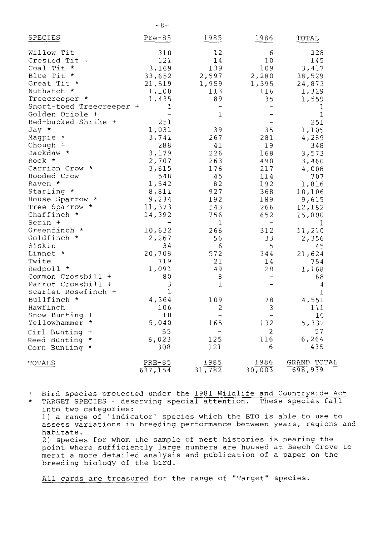| SPECIES                  | $Pre-85$                 | 1985                     | 1986                     | TOTAL                  |
|--------------------------|--------------------------|--------------------------|--------------------------|------------------------|
| Willow Tit               | 310                      | 12                       | 6                        | 328                    |
| Crested Tit +            | 121                      | 14                       | 10                       | 145                    |
| Coal Tit *               | 3,169                    | 139                      | 109                      | 3,417                  |
| Blue Tit *               | 33,652                   | 2,597                    | 2,280                    | 38,529                 |
| Great Tit *              | 21,519                   | 1,959                    | 1,395                    | 24,873                 |
| Nuthatch *               | 1,100                    | 113                      | 116                      | 1,329                  |
| Treecreeper *            | 1,435                    | 89                       | 35                       | 1,559                  |
| Short-toed Treecreeper + | ı                        | $\overline{\phantom{a}}$ | $\overline{\phantom{a}}$ | 1                      |
| Golden Oriole +          | $\overline{\phantom{0}}$ | ı                        |                          | $\mathbf{1}$           |
| Red-backed Shrike +      | 251                      | $\overline{\phantom{0}}$ |                          | 251                    |
| Jay *                    | 1,031                    | 39                       | 35                       | 1,105                  |
| Magpie *                 | 3,741                    | 267                      | 281                      | 4,289                  |
| Chough $+$               | 288                      | 41                       | 19                       | 348                    |
| Jackdaw *                | 3,179                    | 226                      | 168                      | 3,573                  |
| Rook *                   | 2,707                    | 263                      | 490                      | 3,460                  |
| Carrion Crow *           | 3,615                    | 176                      | 217                      | 4,008                  |
| Hooded Crow              | 548                      | 45                       | 114                      | 707                    |
| Raven *                  | 1,542                    | 82                       | 192                      | 1,816                  |
| Starling *               | 8,811                    | 927                      | 368                      | 10,106                 |
| House Sparrow *          | 9,234                    | 192                      | 189                      | 9,615                  |
| Tree Sparrow *           | 11,373                   | 543                      | 266                      | 12,182                 |
| Chaffinch $*$            | 14,392                   | 756                      | 652                      | 15,800                 |
| Serin +                  |                          | $\mathbf{1}$             | $\overline{\phantom{a}}$ | 1                      |
| Greenfinch *             | 10,632                   | 266                      | 312                      | 11,210                 |
| Goldfinch *              | 2,267                    | 56                       | 33                       | 2,356                  |
| Siskin                   | 34                       | $6\,$                    | 5                        | 45                     |
| Linnet *                 | 20,708                   | 572                      | 344                      | 21,624                 |
| Twite                    | 719                      | 21                       | 14                       | 754                    |
| Redpoll *                | 1,091                    | 49                       | 28                       | 1,168                  |
| Common Crossbill +       | 80                       | 8                        |                          | 88                     |
| Parrot Crossbill +       | 3                        | 1                        |                          | 4                      |
| Scarlet Rosefinch +      | $\mathbf{1}$             | $\qquad \qquad -$        |                          | 1                      |
| Bullfinch *              | 4,364                    | 109                      | 78                       | 4,551                  |
| Hawfinch                 | 106                      | $\overline{c}$           | 3                        | 111                    |
| Snow Bunting +           | 10                       | $\frac{1}{2}$            | -                        | 10                     |
| Yellowhammer<br>*        | 5,040                    | 165                      | 132                      | 5,337                  |
| Cirl Bunting +           | 55                       | $\equiv$                 | 2                        | 57                     |
| Reed Bunting<br>*        | 6,023                    | 125                      | 116                      | 6,264                  |
| Corn Bunting<br>$\star$  | 308                      | 121                      | 6                        | 435                    |
|                          |                          |                          |                          |                        |
| TOTALS                   | $PRE-85$<br>637, 154     | 1985<br>31,782           | 1986<br>30,003           | GRAND TOTAL<br>698,939 |

 $-8-$ 

Bird species protected under the 1981 Wildlife and Countryside Act  $\ddot{}$  $\star$ TARGET SPECIES - deserving special attention. These species fall into two categories: 1) a range of 'indicator' species which the BTO is able to use to assess variations in breeding performance between years, regions and habitats. 2) species for whom the sample of nest histories is nearing the point where sufficiently large numbers are housed at Beech Grove to merit a more detailed analysis and publication of a paper on the breeding biology of the bird.

All cards are treasured for the range of "Target" species.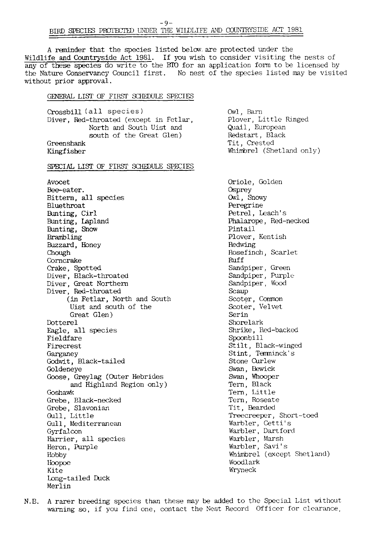A reminder that the species listed below are protected under the Wildlife and Countryside Act 1981. If you wish to consider visiting the nests of any of these species do write to the BIO for an application form to be licensed by the Nature Conservancy Council first. No nest of the species listed may be visited without prior approval.

## GENERAL LIST OF FIRST SCHEDULE SPECIES

Crossbill (all species) Diver, Red-throated (except in Fetlar, North and South Uist and south of the Great Glen) Greenshank Kingfisher

#### SPECIAL LIST OF FIRST SCHEDULE SPECIES

Avocet Bee-eater. Bittern, all species Bluethroat Bunting, Cirl Bunting, Lapland Bunting, Snow Brambling Buzzard, Honey Chough Corncrake Crake, Spotted Diver, Black-throated Diver, Great Northern Diver, Red-throated (in Fetlar, North and South Uist and south of the Great Glen) Dotterel Eagle, all species Fieldfare Firecrest Garganey Godwit, Black-tailed Goldeneye Goose, Greylag (Outer Hebrides and Highland Region only) Goshawk Grebe, Black-necked Grebe, Slavonian Gull, Little Gull. Mediterranean Gyrfalcon Harrier, all species Heron, Purple Hobby licopoe Kite Long-tailed Duck Merlin

Owl, Barn Plover, Little Ringed Quail, European Redstart, Black Tit, Crested Whimbrel (Shetland only)

Oriole, Golden **Osprey** Owl, Snowy Peregrine Petrel, Leach's Phalarope, Red-necked Pintail Plover, Kentish Redwing Rosefinch, Scarlet Ruff Sandpiper, Green Sandpiper, Purple Sandpiper, Wood Scaup Scoter, Common Scoter, Velvet Serin Shorelark Shrike, Red-backed Spoonbill Stilt, Black-winged Stint, Terminck's Stone Curlew Swan, Bewick Swan, Whooper Tern, Black Tern, Little Tern, Roseate Tit, Bearded Treecreeper, Short-toed Warbler, Cetti's Warbler, Dartford Warbler, Marsh Warbler, Savi's Whimbrel (except Shetland) Woodlark Wryneck

N.B. A rarer breeding species than these may be added to the Special List without warning so, if you find one, contact the Nest Record Officer for clearance.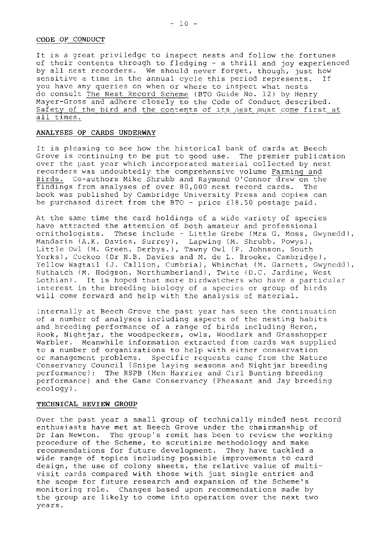#### CODE OF CONDUCT

It is a great priviledge to inspect nests and follow the fortunes of their contents through to fledging - a thrill and joy experienced by all nest recorders. We should never forget, though, just how sensitive a time in the annual cycle this period represents. you have any queries on when or where to inspect what nests do consult The Nest Record Scheme (BTO Guide No. 12) by Henry Mayer-Gross and adhere closely to the Code of Conduct described. Safety of the bird and the contents of its nest must come first at all times.

## ANALYSES OF CARDS UNDERWAY

It is pleasing to see how the historical bank of cards at Beech Grove is continuing to be put to good use. The premier publication over the past year which incorporated material collected by nest recorders was undoubtedly the comprehensive volume Farming and Birds. Co-authors Mike Shrubb and Raymond O'Connor drew on the findings from analyses of over 80,000 nest record cards. The book was published by Cambridge University Press and copies can be purchased direct from the BTO - price £18.50 postage paid.

At the same time the card holdings of a wide variety of species have attracted the attention of both amateur and professional ornithologists. These include - Little Grebe (Mrs G. Moss, Gwynedd), Mandarin (A.K. Davies, Surrey), Lapwing (M. Shrubb, Powys),<br>Little Owl (M. Green, Derbys.), Tawny Owl (P. Johnson, South Yorks), Cuckoo (Dr N.B. Davies and M. de L. Brooke, Cambridge), Yellow Waqtail (J. Callion, Cumbria), Whinchat (M. Garnett, Gwynedd), Nuthatch (M. Hodgson, Northumberland), Twite (D.C. Jardine, West Lothian). It is hoped that more birdwatchers who have a particular interest in the breeding biology of a species or group of birds will come forward and help with the analysis of material.

Internally at Beech Grove the past year has seen the continuation of a number of analyses including aspects of the nesting habits and breeding performance of a range of birds including Heron, Rook, Nightjar, the woodpeckers, owls, Woodlark and Grasshopper Warbler. Meanwhile information extracted from cards was supplied to a number of organizations to help with either conservation or management problems. Specific requests came from the Nature Conservancy Council (Snipe laying seasons and Nightjar breeding performance); The RSPB (Hen Harrier and Cirl Bunting breeding performance) and the Game Conservancy (Pheasant and Jay breeding  $ecology$ ).

# TECHNICAL REVIEW GROUP

Over the past year a small group of technically minded nest record enthusiasts have met at Beech Grove under the chairmanship of Dr Ian Newton. The group's remit has been to review the working procedure of the Scheme, to scrutinize methodology and make recommendations for future development. They have tackled a wide range of topics including possible improvements to card design, the use of colony sheets, the relative value of multivisit cards compared with those with just single entries and the scope for future research and expansion of the Scheme's monitoring role. Changes based upon recommendations made by the group are likely to come into operation over the next two years.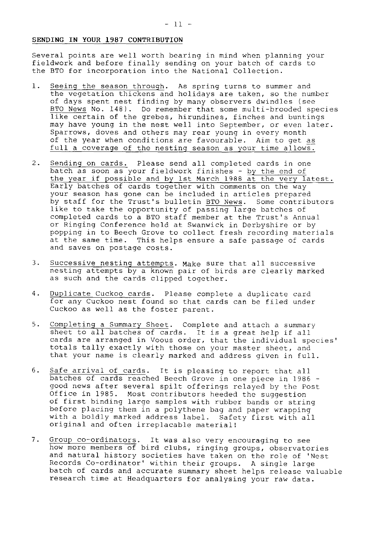#### SENDING IN YOUR 1987 CONTRIBUTION

Several points are well worth bearing in mind when planning your fieldwork and before finally sending on your batch of cards to the BTO for incorporation into the National Collection.

- $1.$ Seeing the season through. As spring turns to summer and the vegetation thickens and holidays are taken, so the number of days spent nest finding by many observers dwindles (see BTO News No. 148). Do remember that some multi-brooded species like certain of the grebes, hirundines, finches and buntings may have young in the nest well into September, or even later. Sparrows, doves and others may rear young in every month of the year when conditions are favourable. Aim to get as full a coverage of the nesting season as your time allows.
- 2. Sending on cards. Please send all completed cards in one batch as soon as your fieldwork finishes - by the end of<br>the year if possible and by 1st March 1988 at the very latest.<br>Early batches of cards together with comments on the way your season has gone can be included in articles prepared by staff for the Trust's bulletin BTO News. Some contributors like to take the opportunity of passing large batches of completed cards to a BTO staff member at the Trust's Annual or Ringing Conference held at Swanwick in Derbyshire or by popping in to Beech Grove to collect fresh recording materials at the same time. This helps ensure a safe passage of cards and saves on postage costs.
- $3.$ Successive nesting attempts. Make sure that all successive nesting attempts by a known pair of birds are clearly marked as such and the cards clipped together.
- $4.$ Duplicate Cuckoo cards. Please complete a duplicate card for any Cuckoo nest found so that cards can be filed under Cuckoo as well as the foster parent.
- Completing a Summary Sheet. Complete and attach a summary sheet to all batches of cards. It is a great help if all  $5.$ cards are arranged in Voous order, that the individual species' totals tally exactly with those on your master sheet, and that your name is clearly marked and address given in full.
- 6. Safe arrival of cards. It is pleasing to report that all batches of cards reached Beech Grove in one piece in 1986 good news after several spilt offerings relayed by the Post Office in 1985. Most contributors heeded the suggestion of first binding large samples with rubber bands or string before placing them in a polythene bag and paper wrapping with a boldly marked address label. Safety first with all original and often irreplacable material!
- $7.$ Group co-ordinators. It was also very encouraging to see how more members of bird clubs, ringing groups, observatories and natural history societies have taken on the role of 'Nest Records Co-ordinator' within their groups. A single large batch of cards and accurate summary sheet helps release valuable research time at Headquarters for analysing your raw data.